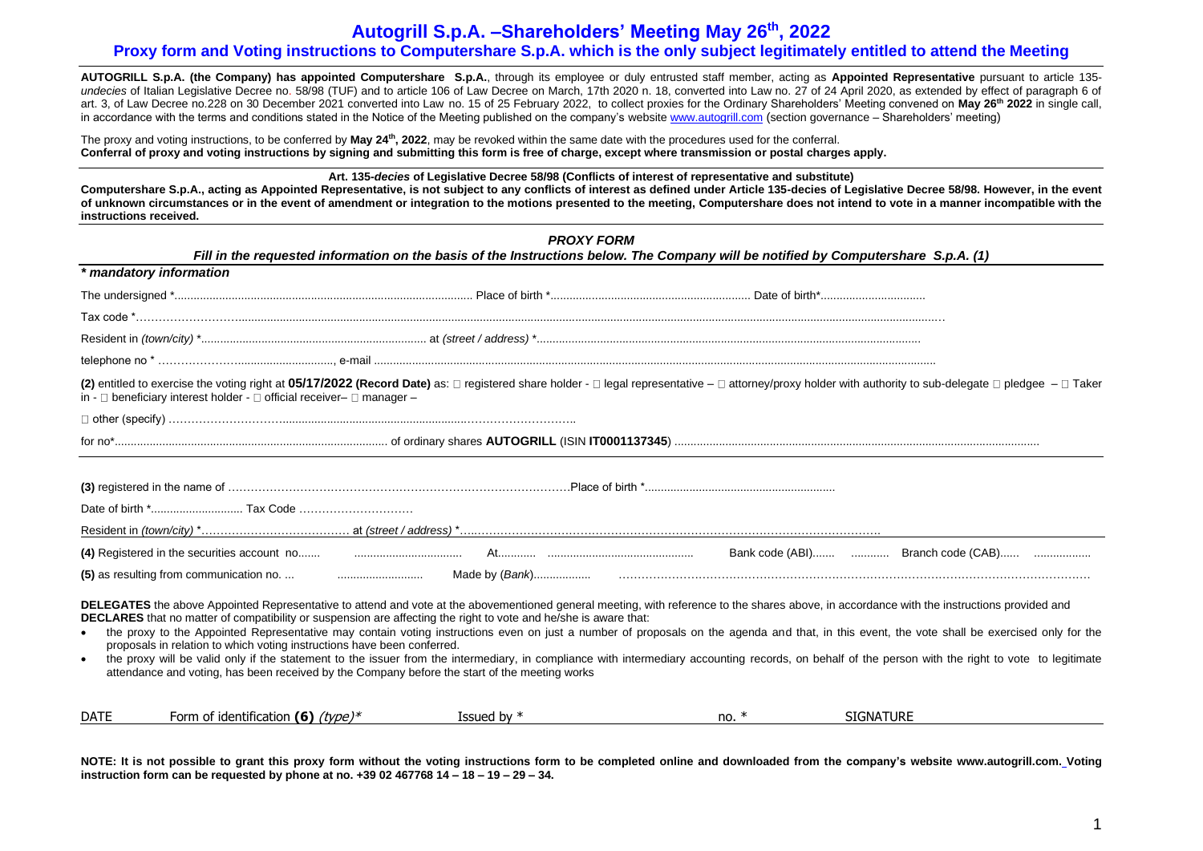# **Autogrill S.p.A. –Shareholders' Meeting May 26 th , 2022 Proxy form and Voting instructions to Computershare S.p.A. which is the only subject legitimately entitled to attend the Meeting**

**AUTOGRILL S.p.A. (the Company) has appointed Computershare S.p.A.**, through its employee or duly entrusted staff member, acting as **Appointed Representative** pursuant to article 135 undecies of Italian Legislative Decree no, 58/98 (TUF) and to article 106 of Law Decree on March, 17th 2020 n. 18, converted into Law no. 27 of 24 April 2020, as extended by effect of paragraph 6 of art. 3, of Law Decree no.228 on 30 December 2021 converted into Law no. 15 of 25 February 2022, to collect proxies for the Ordinary Shareholders' Meeting convened on **May 26 th 2022** in single call, in accordance with the terms and conditions stated in the Notice of the Meeting published on the company's website [www.autogrill.com](http://www.autogrill.com/) (section governance – Shareholders' meeting)

The proxy and voting instructions, to be conferred by **May 24th, 2022**, may be revoked within the same date with the procedures used for the conferral. **Conferral of proxy and voting instructions by signing and submitting this form is free of charge, except where transmission or postal charges apply.**

**Art. 135-***decies* **of Legislative Decree 58/98 (Conflicts of interest of representative and substitute)** 

**Computershare S.p.A., acting as Appointed Representative, is not subject to any conflicts of interest as defined under Article 135-decies of Legislative Decree 58/98. However, in the event of unknown circumstances or in the event of amendment or integration to the motions presented to the meeting, Computershare does not intend to vote in a manner incompatible with the instructions received.**

| <b>PROXY FORM</b><br>Fill in the requested information on the basis of the Instructions below. The Company will be notified by Computershare S.p.A. (1) |                                                                                                                                                                                                                                                                                                                                                                                                                                                                                             |               |        |                                                                                                                                                                                                                                                                                                                                                                                                     |  |
|---------------------------------------------------------------------------------------------------------------------------------------------------------|---------------------------------------------------------------------------------------------------------------------------------------------------------------------------------------------------------------------------------------------------------------------------------------------------------------------------------------------------------------------------------------------------------------------------------------------------------------------------------------------|---------------|--------|-----------------------------------------------------------------------------------------------------------------------------------------------------------------------------------------------------------------------------------------------------------------------------------------------------------------------------------------------------------------------------------------------------|--|
|                                                                                                                                                         | * mandatory information                                                                                                                                                                                                                                                                                                                                                                                                                                                                     |               |        |                                                                                                                                                                                                                                                                                                                                                                                                     |  |
|                                                                                                                                                         |                                                                                                                                                                                                                                                                                                                                                                                                                                                                                             |               |        |                                                                                                                                                                                                                                                                                                                                                                                                     |  |
|                                                                                                                                                         |                                                                                                                                                                                                                                                                                                                                                                                                                                                                                             |               |        |                                                                                                                                                                                                                                                                                                                                                                                                     |  |
|                                                                                                                                                         |                                                                                                                                                                                                                                                                                                                                                                                                                                                                                             |               |        |                                                                                                                                                                                                                                                                                                                                                                                                     |  |
|                                                                                                                                                         |                                                                                                                                                                                                                                                                                                                                                                                                                                                                                             |               |        |                                                                                                                                                                                                                                                                                                                                                                                                     |  |
|                                                                                                                                                         | in - $\Box$ beneficiary interest holder - $\Box$ official receiver- $\Box$ manager -                                                                                                                                                                                                                                                                                                                                                                                                        |               |        | (2) entitled to exercise the voting right at 05/17/2022 (Record Date) as: □ registered share holder - □ legal representative - □ attorney/proxy holder with authority to sub-delegate □ pledgee - □ Taker                                                                                                                                                                                           |  |
|                                                                                                                                                         |                                                                                                                                                                                                                                                                                                                                                                                                                                                                                             |               |        |                                                                                                                                                                                                                                                                                                                                                                                                     |  |
|                                                                                                                                                         |                                                                                                                                                                                                                                                                                                                                                                                                                                                                                             |               |        |                                                                                                                                                                                                                                                                                                                                                                                                     |  |
|                                                                                                                                                         |                                                                                                                                                                                                                                                                                                                                                                                                                                                                                             |               |        |                                                                                                                                                                                                                                                                                                                                                                                                     |  |
|                                                                                                                                                         |                                                                                                                                                                                                                                                                                                                                                                                                                                                                                             |               |        |                                                                                                                                                                                                                                                                                                                                                                                                     |  |
|                                                                                                                                                         |                                                                                                                                                                                                                                                                                                                                                                                                                                                                                             |               |        |                                                                                                                                                                                                                                                                                                                                                                                                     |  |
|                                                                                                                                                         | DELEGATES the above Appointed Representative to attend and vote at the abovementioned general meeting, with reference to the shares above, in accordance with the instructions provided and<br>DECLARES that no matter of compatibility or suspension are affecting the right to vote and he/she is aware that:<br>proposals in relation to which voting instructions have been conferred.<br>attendance and voting, has been received by the Company before the start of the meeting works |               |        | the proxy to the Appointed Representative may contain voting instructions even on just a number of proposals on the agenda and that, in this event, the vote shall be exercised only for the<br>the proxy will be valid only if the statement to the issuer from the intermediary, in compliance with intermediary accounting records, on behalf of the person with the right to vote to legitimate |  |
| <b>DATE</b>                                                                                                                                             | Form of identification (6) $(type)*$                                                                                                                                                                                                                                                                                                                                                                                                                                                        | Issued by $*$ | $no.*$ | <b>SIGNATURE</b>                                                                                                                                                                                                                                                                                                                                                                                    |  |

**NOTE: It is not possible to grant this proxy form without the voting instructions form to be completed online and downloaded from the company's website [www.autogrill.com.](http://www.autogrill.com/) Voting instruction form can be requested by phone at no. +39 02 467768 14 – 18 – 19 – 29 – 34.**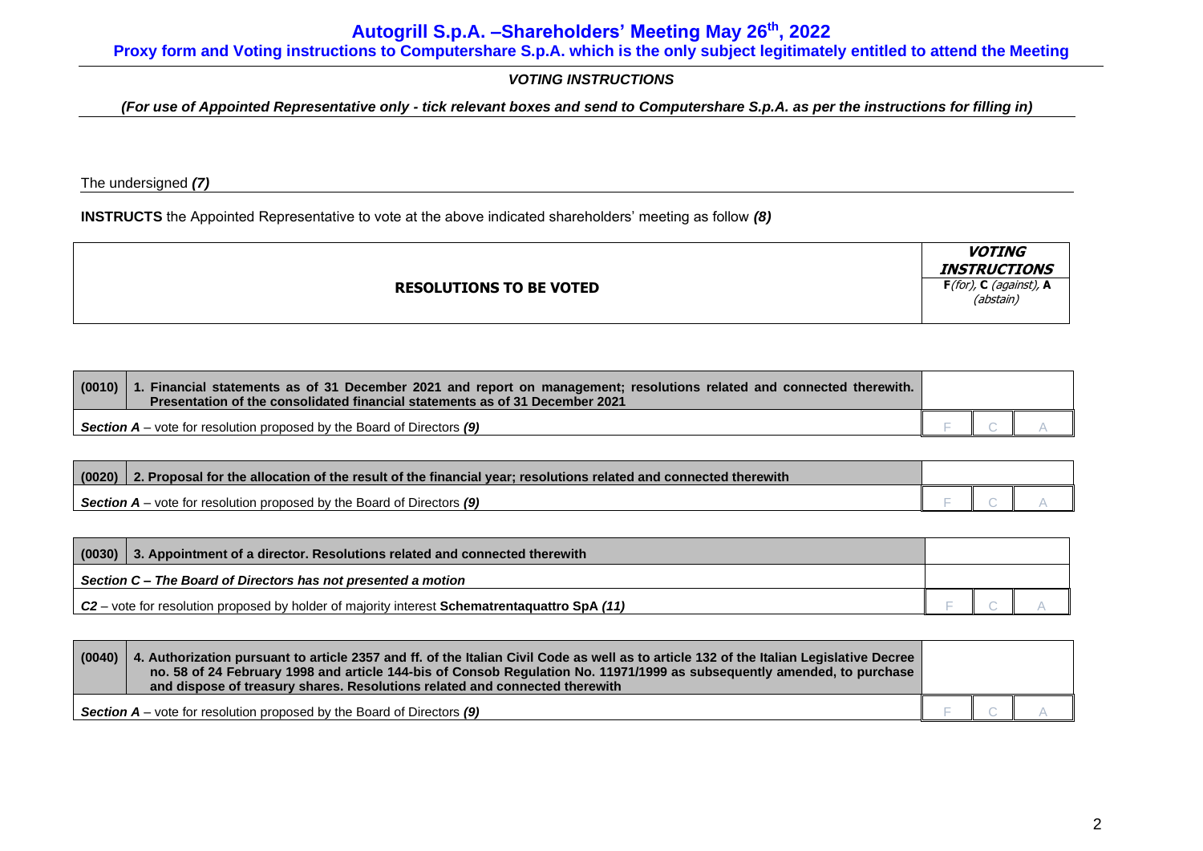**Proxy form and Voting instructions to Computershare S.p.A. which is the only subject legitimately entitled to attend the Meeting**

# *VOTING INSTRUCTIONS*

*(For use of Appointed Representative only - tick relevant boxes and send to Computershare S.p.A. as per the instructions for filling in)*

The undersigned *(7)*

**INSTRUCTS** the Appointed Representative to vote at the above indicated shareholders' meeting as follow *(8)*

|                                | <i><b>VOTING</b></i><br><i><b>INSTRUCTIONS</b></i> |
|--------------------------------|----------------------------------------------------|
| <b>RESOLUTIONS TO BE VOTED</b> | $F($ for), C (against), A<br>(abstain)             |

| $(0010)$   1 | 1. Financial statements as of 31 December 2021 and report on management; resolutions related and connected therewith.<br>Presentation of the consolidated financial statements as of 31 December 2021 |  |  |
|--------------|-------------------------------------------------------------------------------------------------------------------------------------------------------------------------------------------------------|--|--|
|              | <b>Section A</b> – vote for resolution proposed by the Board of Directors $(9)$                                                                                                                       |  |  |

| (0020)<br>2. Proposal for the allocation of the result of the financial year; resolutions related and connected therewith |  |  |
|---------------------------------------------------------------------------------------------------------------------------|--|--|
| <b>Section A</b> – vote for resolution proposed by the Board of Directors $(9)$                                           |  |  |

| (0030)<br>3. Appointment of a director. Resolutions related and connected therewith                    |  |  |  |
|--------------------------------------------------------------------------------------------------------|--|--|--|
| Section C – The Board of Directors has not presented a motion                                          |  |  |  |
| $C2$ – vote for resolution proposed by holder of majority interest <b>Schematrentaguattro SpA</b> (11) |  |  |  |

| (0040) | 4. Authorization pursuant to article 2357 and ff. of the Italian Civil Code as well as to article 132 of the Italian Legislative Decree<br>no. 58 of 24 February 1998 and article 144-bis of Consob Regulation No. 11971/1999 as subsequently amended, to purchase<br>and dispose of treasury shares. Resolutions related and connected therewith |  |  |
|--------|---------------------------------------------------------------------------------------------------------------------------------------------------------------------------------------------------------------------------------------------------------------------------------------------------------------------------------------------------|--|--|
|        | <b>Section <math>A</math></b> – vote for resolution proposed by the Board of Directors $(9)$                                                                                                                                                                                                                                                      |  |  |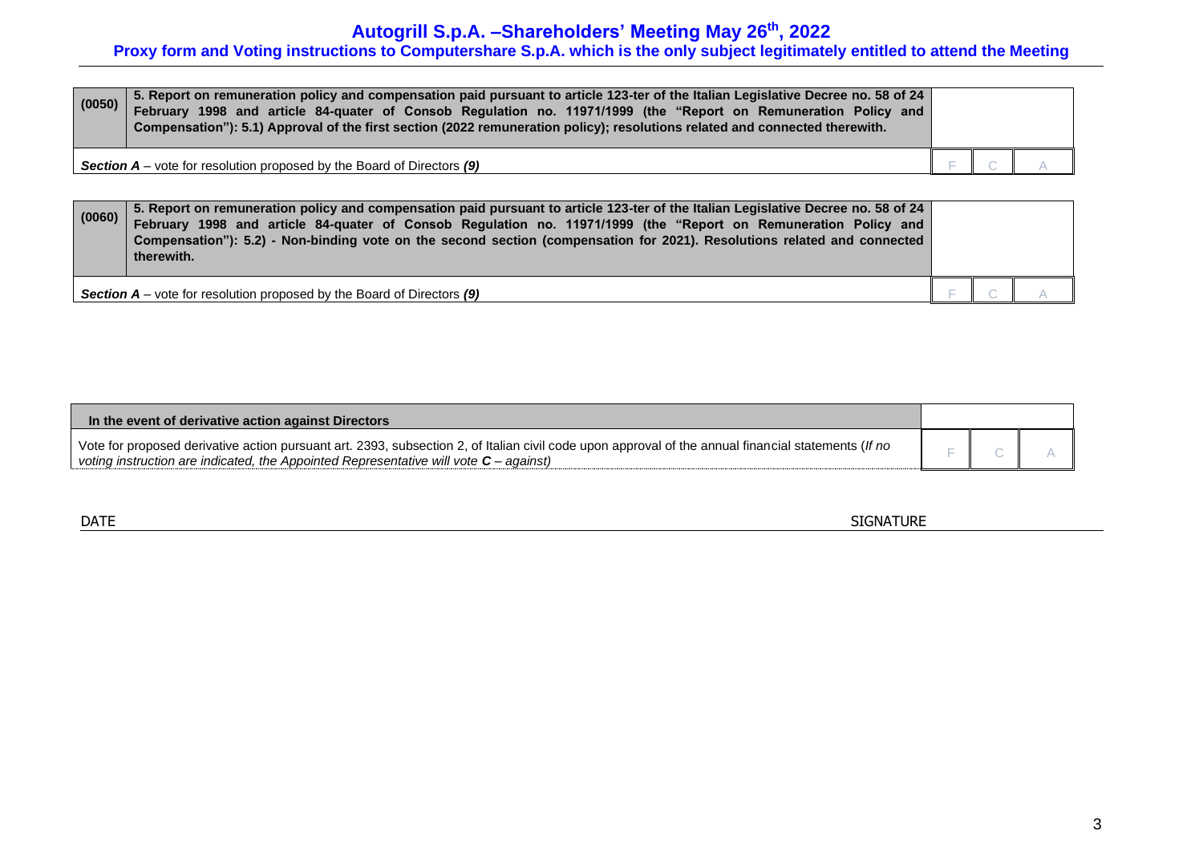# **Autogrill S.p.A. –Shareholders' Meeting May 26 th , 2022**

# **Proxy form and Voting instructions to Computershare S.p.A. which is the only subject legitimately entitled to attend the Meeting**

| (0050) | 5. Report on remuneration policy and compensation paid pursuant to article 123-ter of the Italian Legislative Decree no. 58 of 24<br>February 1998 and article 84-quater of Consob Regulation no. 11971/1999 (the "Report on Remuneration Policy and<br>Compensation"): 5.1) Approval of the first section (2022 remuneration policy); resolutions related and connected therewith. |  |  |
|--------|-------------------------------------------------------------------------------------------------------------------------------------------------------------------------------------------------------------------------------------------------------------------------------------------------------------------------------------------------------------------------------------|--|--|
|        | <b>Section A</b> – vote for resolution proposed by the Board of Directors (9)                                                                                                                                                                                                                                                                                                       |  |  |

| (0060) | 5. Report on remuneration policy and compensation paid pursuant to article 123-ter of the Italian Legislative Decree no. 58 of 24<br>February 1998 and article 84-quater of Consob Regulation no. 11971/1999 (the "Report on Remuneration Policy and<br>Compensation"): 5.2) - Non-binding vote on the second section (compensation for 2021). Resolutions related and connected<br>therewith. |  |  |
|--------|------------------------------------------------------------------------------------------------------------------------------------------------------------------------------------------------------------------------------------------------------------------------------------------------------------------------------------------------------------------------------------------------|--|--|
|        | <b>Section A</b> – vote for resolution proposed by the Board of Directors $(9)$                                                                                                                                                                                                                                                                                                                |  |  |

| In the event of derivative action against Directors                                                                                                                                                                                            |  |  |
|------------------------------------------------------------------------------------------------------------------------------------------------------------------------------------------------------------------------------------------------|--|--|
| Vote for proposed derivative action pursuant art. 2393, subsection 2, of Italian civil code upon approval of the annual financial statements (If no<br>voting instruction are indicated, the Appointed Representative will vote $C$ – against) |  |  |

| <b>DATE</b> | <b>SIGNATURE</b> |
|-------------|------------------|
|             |                  |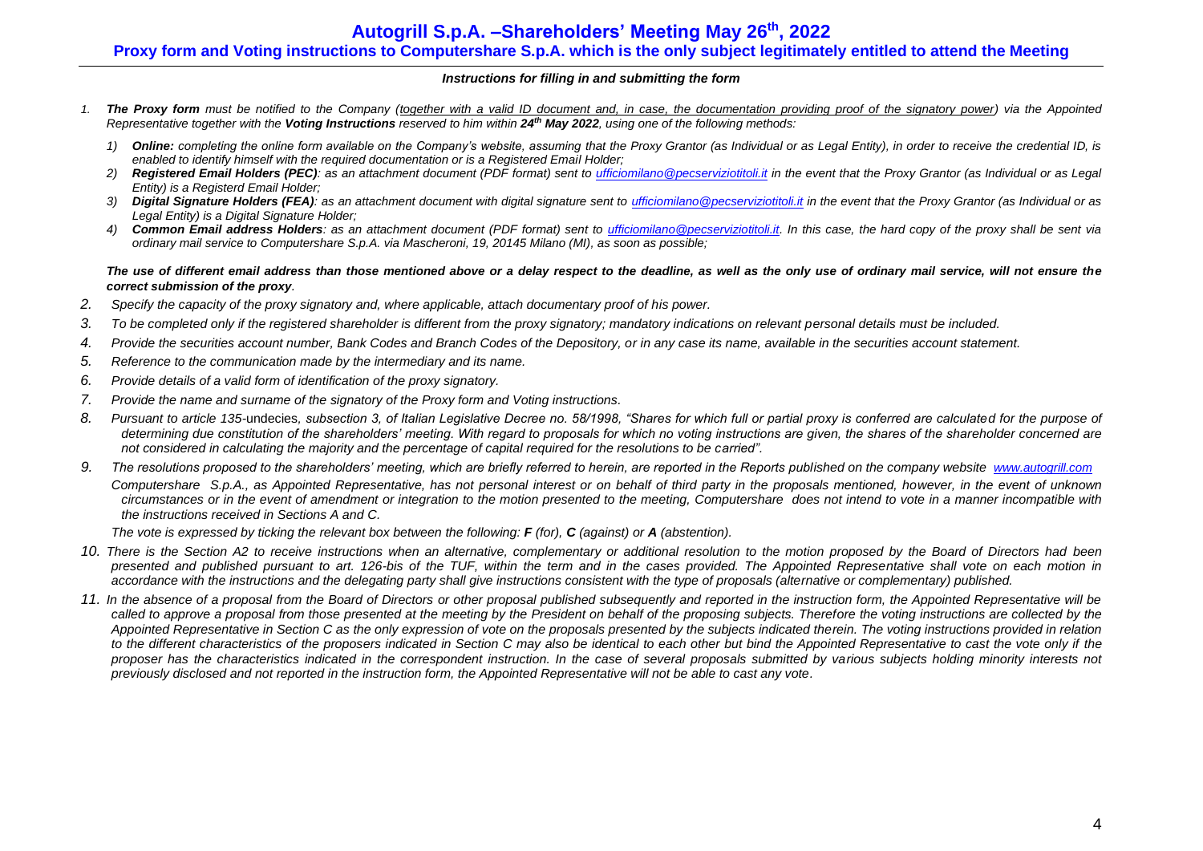# **Autogrill S.p.A. –Shareholders' Meeting May 26 th , 2022**

# **Proxy form and Voting instructions to Computershare S.p.A. which is the only subject legitimately entitled to attend the Meeting**

#### *Instructions for filling in and submitting the form*

- *1. The Proxy form must be notified to the Company (together with a valid ID document and, in case, the documentation providing proof of the signatory power) via the Appointed Representative together with the Voting Instructions reserved to him within 24 th May 2022, using one of the following methods:*
	- *1) Online: completing the online form available on the Company's website, assuming that the Proxy Grantor (as Individual or as Legal Entity), in order to receive the credential ID, is enabled to identify himself with the required documentation or is a Registered Email Holder;*
	- *2) Registered Email Holders (PEC): as an attachment document (PDF format) sent to [ufficiomilano@pecserviziotitoli.it](mailto:ufficiomilano@pecserviziotitoli.it) in the event that the Proxy Grantor (as Individual or as Legal Entity) is a Registerd Email Holder;*
	- *3) Digital Signature Holders (FEA): as an attachment document with digital signature sent to [ufficiomilano@pecserviziotitoli.it](mailto:ufficiomilano@pecserviziotitoli.it) in the event that the Proxy Grantor (as Individual or as Legal Entity) is a Digital Signature Holder;*
	- *4) Common Email address Holders: as an attachment document (PDF format) sent to [ufficiomilano@pecserviziotitoli.it.](mailto:ufficiomilano@pecserviziotitoli.it) In this case, the hard copy of the proxy shall be sent via ordinary mail service to Computershare S.p.A. via Mascheroni, 19, 20145 Milano (MI), as soon as possible;*

#### *The use of different email address than those mentioned above or a delay respect to the deadline, as well as the only use of ordinary mail service, will not ensure the correct submission of the proxy.*

- *2. Specify the capacity of the proxy signatory and, where applicable, attach documentary proof of his power.*
- *3. To be completed only if the registered shareholder is different from the proxy signatory; mandatory indications on relevant personal details must be included.*
- *4. Provide the securities account number, Bank Codes and Branch Codes of the Depository, or in any case its name, available in the securities account statement.*
- *5. Reference to the communication made by the intermediary and its name.*
- *6. Provide details of a valid form of identification of the proxy signatory.*
- *7. Provide the name and surname of the signatory of the Proxy form and Voting instructions.*
- *8. Pursuant to article 135-*undecies*, subsection 3, of Italian Legislative Decree no. 58/1998, "Shares for which full or partial proxy is conferred are calculated for the purpose of determining due constitution of the shareholders' meeting. With regard to proposals for which no voting instructions are given, the shares of the shareholder concerned are not considered in calculating the majority and the percentage of capital required for the resolutions to be carried".*
- 9. The resolutions proposed to the shareholders' meeting, which are briefly referred to herein, are reported in the Reports published on the company website *[www.autogrill.com](http://www.autogrill.com/) Computershare S.p.A., as Appointed Representative, has not personal interest or on behalf of third party in the proposals mentioned, however, in the event of unknown circumstances or in the event of amendment or integration to the motion presented to the meeting, Computershare does not intend to vote in a manner incompatible with the instructions received in Sections A and C.*

*The vote is expressed by ticking the relevant box between the following: F (for), C (against) or A (abstention).*

- *10. There is the Section A2 to receive instructions when an alternative, complementary or additional resolution to the motion proposed by the Board of Directors had been presented and published pursuant to art. 126-bis of the TUF, within the term and in the cases provided. The Appointed Representative shall vote on each motion in accordance with the instructions and the delegating party shall give instructions consistent with the type of proposals (alternative or complementary) published.*
- *11. In the absence of a proposal from the Board of Directors or other proposal published subsequently and reported in the instruction form, the Appointed Representative will be*  called to approve a proposal from those presented at the meeting by the President on behalf of the proposing subjects. Therefore the voting instructions are collected by the *Appointed Representative in Section C as the only expression of vote on the proposals presented by the subjects indicated therein. The voting instructions provided in relation to the different characteristics of the proposers indicated in Section C may also be identical to each other but bind the Appointed Representative to cast the vote only if the proposer has the characteristics indicated in the correspondent instruction. In the case of several proposals submitted by various subjects holding minority interests not previously disclosed and not reported in the instruction form, the Appointed Representative will not be able to cast any vote.*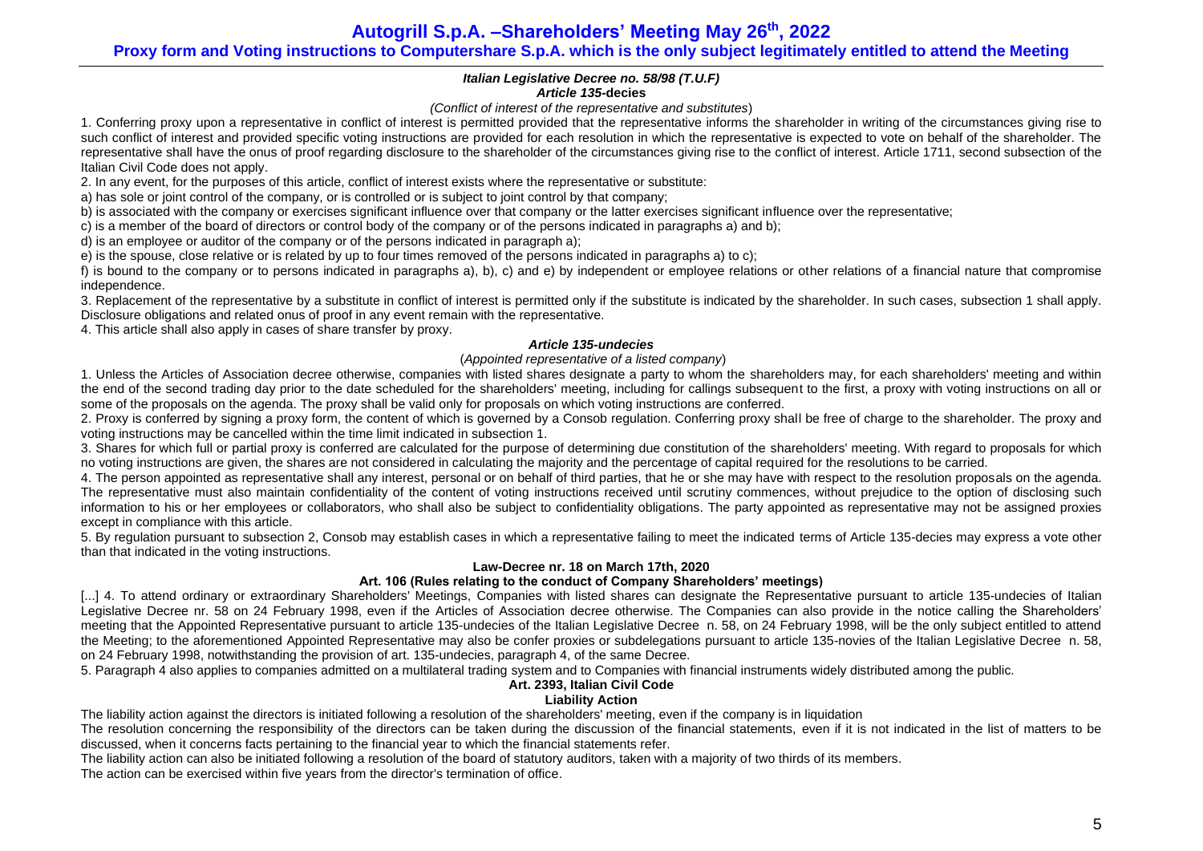**Autogrill S.p.A. –Shareholders' Meeting May 26 th , 2022 Proxy form and Voting instructions to Computershare S.p.A. which is the only subject legitimately entitled to attend the Meeting**

### *Italian Legislative Decree no. 58/98 (T.U.F) Article 135-***decies**

#### *(Conflict of interest of the representative and substitutes*)

1. Conferring proxy upon a representative in conflict of interest is permitted provided that the representative informs the shareholder in writing of the circumstances giving rise to such conflict of interest and provided specific voting instructions are provided for each resolution in which the representative is expected to vote on behalf of the shareholder. The representative shall have the onus of proof regarding disclosure to the shareholder of the circumstances giving rise to the conflict of interest. Article 1711, second subsection of the Italian Civil Code does not apply.

2. In any event, for the purposes of this article, conflict of interest exists where the representative or substitute:

a) has sole or joint control of the company, or is controlled or is subject to joint control by that company;

b) is associated with the company or exercises significant influence over that company or the latter exercises significant influence over the representative;

c) is a member of the board of directors or control body of the company or of the persons indicated in paragraphs a) and b);

d) is an employee or auditor of the company or of the persons indicated in paragraph a);

e) is the spouse, close relative or is related by up to four times removed of the persons indicated in paragraphs a) to c);

f) is bound to the company or to persons indicated in paragraphs a), b), c) and e) by independent or employee relations or other relations of a financial nature that compromise independence.

3. Replacement of the representative by a substitute in conflict of interest is permitted only if the substitute is indicated by the shareholder. In such cases, subsection 1 shall apply. Disclosure obligations and related onus of proof in any event remain with the representative.

4. This article shall also apply in cases of share transfer by proxy.

## *Article 135-undecies*

## (*Appointed representative of a listed company*)

1. Unless the Articles of Association decree otherwise, companies with listed shares designate a party to whom the shareholders may, for each shareholders' meeting and within the end of the second trading day prior to the date scheduled for the shareholders' meeting, including for callings subsequent to the first, a proxy with voting instructions on all or some of the proposals on the agenda. The proxy shall be valid only for proposals on which voting instructions are conferred.

2. Proxy is conferred by signing a proxy form, the content of which is governed by a Consob regulation. Conferring proxy shall be free of charge to the shareholder. The proxy and voting instructions may be cancelled within the time limit indicated in subsection 1.

3. Shares for which full or partial proxy is conferred are calculated for the purpose of determining due constitution of the shareholders' meeting. With regard to proposals for which no voting instructions are given, the shares are not considered in calculating the majority and the percentage of capital required for the resolutions to be carried.

4. The person appointed as representative shall any interest, personal or on behalf of third parties, that he or she may have with respect to the resolution proposals on the agenda. The representative must also maintain confidentiality of the content of voting instructions received until scrutiny commences, without prejudice to the option of disclosing such information to his or her employees or collaborators, who shall also be subject to confidentiality obligations. The party appointed as representative may not be assigned proxies except in compliance with this article.

5. By regulation pursuant to subsection 2, Consob may establish cases in which a representative failing to meet the indicated terms of Article 135-decies may express a vote other than that indicated in the voting instructions.

## **Law-Decree nr. 18 on March 17th, 2020**

## **Art. 106 (Rules relating to the conduct of Company Shareholders' meetings)**

[...] 4. To attend ordinary or extraordinary Shareholders' Meetings, Companies with listed shares can designate the Representative pursuant to article 135-undecies of Italian Legislative Decree nr. 58 on 24 February 1998, even if the Articles of Association decree otherwise. The Companies can also provide in the notice calling the Shareholders' meeting that the Appointed Representative pursuant to article 135-undecies of the Italian Legislative Decree n. 58, on 24 February 1998, will be the only subject entitled to attend the Meeting; to the aforementioned Appointed Representative may also be confer proxies or subdelegations pursuant to article 135-novies of the Italian Legislative Decree n. 58, on 24 February 1998, notwithstanding the provision of art. 135-undecies, paragraph 4, of the same Decree.

5. Paragraph 4 also applies to companies admitted on a multilateral trading system and to Companies with financial instruments widely distributed among the public.

# **Art. 2393, Italian Civil Code**

## **Liability Action**

The liability action against the directors is initiated following a resolution of the shareholders' meeting, even if the company is in liquidation

The resolution concerning the responsibility of the directors can be taken during the discussion of the financial statements, even if it is not indicated in the list of matters to be discussed, when it concerns facts pertaining to the financial year to which the financial statements refer.

The liability action can also be initiated following a resolution of the board of statutory auditors, taken with a majority of two thirds of its members. The action can be exercised within five years from the director's termination of office.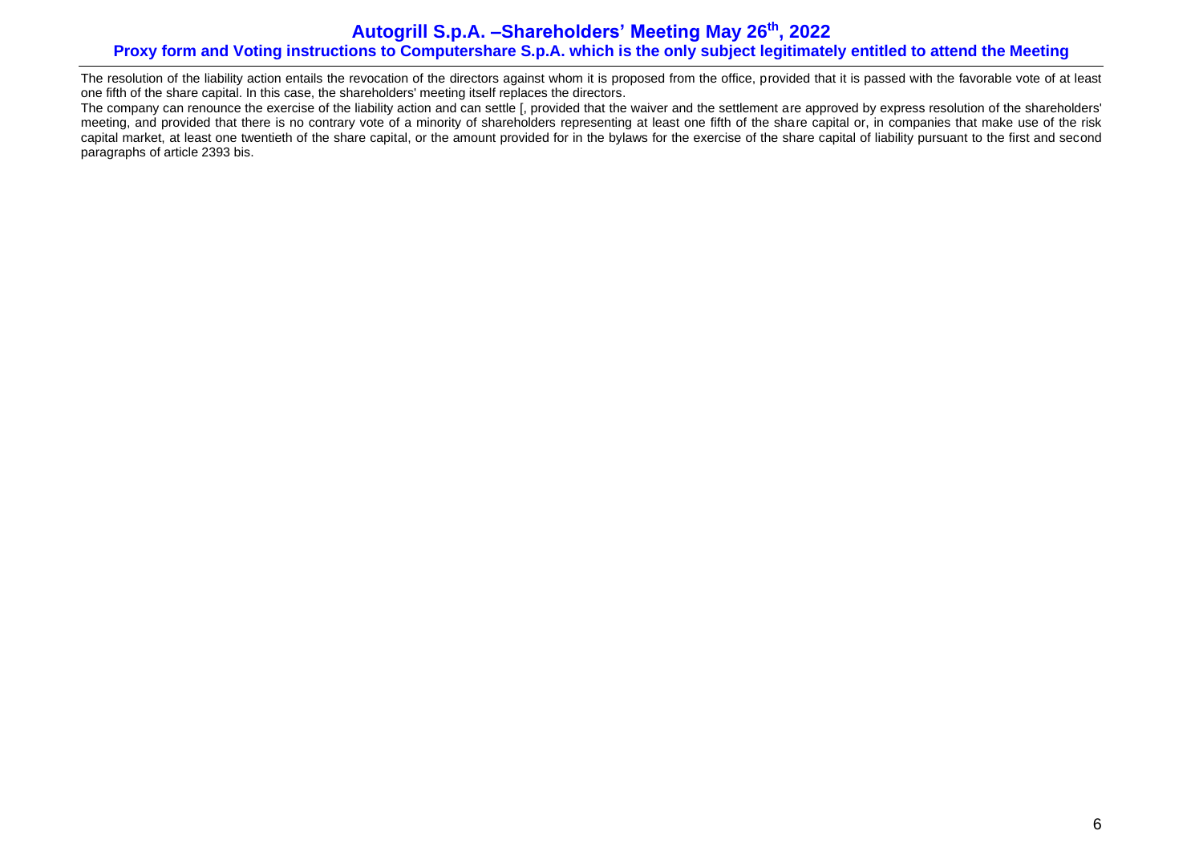# **Autogrill S.p.A. –Shareholders' Meeting May 26 th , 2022 Proxy form and Voting instructions to Computershare S.p.A. which is the only subject legitimately entitled to attend the Meeting**

The resolution of the liability action entails the revocation of the directors against whom it is proposed from the office, provided that it is passed with the favorable vote of at least one fifth of the share capital. In this case, the shareholders' meeting itself replaces the directors.

The company can renounce the exercise of the liability action and can settle [, provided that the waiver and the settlement are approved by express resolution of the shareholders' meeting, and provided that there is no contrary vote of a minority of shareholders representing at least one fifth of the share capital or, in companies that make use of the risk capital market, at least one twentieth of the share capital, or the amount provided for in the bylaws for the exercise of the share capital of liability pursuant to the first and second paragraphs of article 2393 bis.